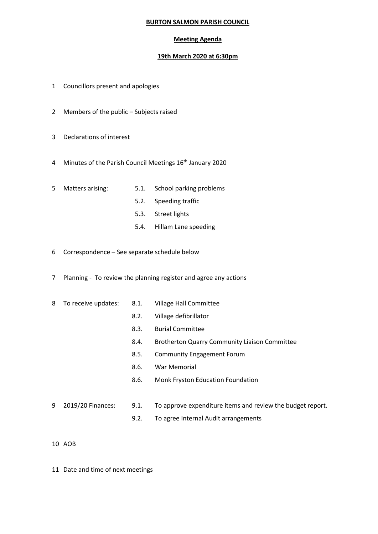## **BURTON SALMON PARISH COUNCIL**

## **Meeting Agenda**

## **19th March 2020 at 6:30pm**

- 1 Councillors present and apologies
- 2 Members of the public Subjects raised
- 3 Declarations of interest
- 4 Minutes of the Parish Council Meetings 16<sup>th</sup> January 2020
- 
- 5 Matters arising: 5.1. School parking problems
	- 5.2. Speeding traffic
	- 5.3. Street lights
	- 5.4. Hillam Lane speeding
- 6 Correspondence See separate schedule below
- 7 Planning To review the planning register and agree any actions
- 8 To receive updates: 8.1. Village Hall Committee
	-
	- 8.2. Village defibrillator
	- 8.3. Burial Committee
	- 8.4. Brotherton Quarry Community Liaison Committee
	- 8.5. Community Engagement Forum
	- 8.6. War Memorial
	- 8.6. Monk Fryston Education Foundation
- 9 2019/20 Finances: 9.1. To approve expenditure items and review the budget report.
	- 9.2. To agree Internal Audit arrangements

- 10 AOB
- 11 Date and time of next meetings